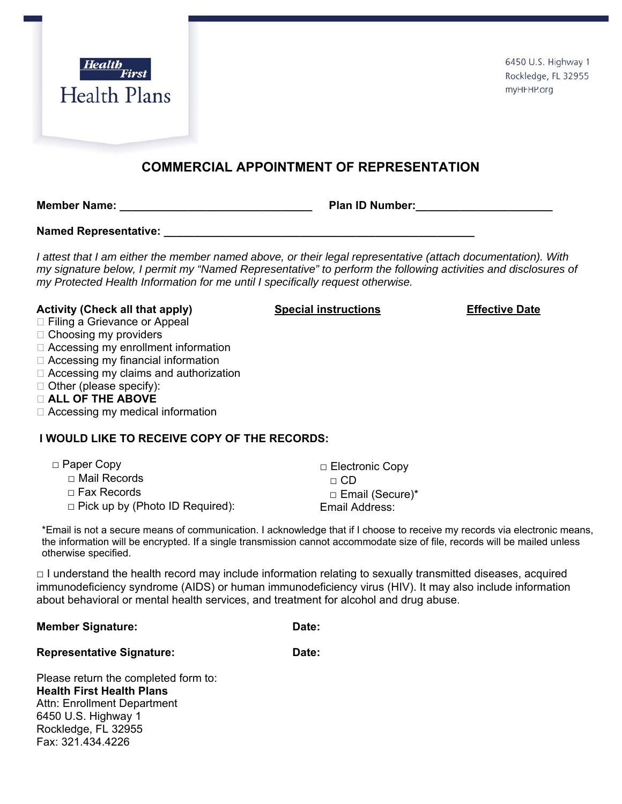

6450 U.S. Highway 1 Rockledge, FL 32955 myHFHP.org

## **COMMERCIAL APPOINTMENT OF REPRESENTATION**

**Member Name: \_\_\_\_\_\_\_\_\_\_\_\_\_\_\_\_\_\_\_\_\_\_\_\_\_\_\_\_\_\_\_ Plan ID Number:\_\_\_\_\_\_\_\_\_\_\_\_\_\_\_\_\_\_\_\_\_\_**

**Named Representative:**  $\blacksquare$ 

*I attest that I am either the member named above, or their legal representative (attach documentation). With my signature below, I permit my "Named Representative" to perform the following activities and disclosures of my Protected Health Information for me until I specifically request otherwise.* 

## **Activity (Check all that apply) Special instructions Effective Date**

- □ Filing a Grievance or Appeal
- $\Box$  Choosing my providers
- □ Accessing my enrollment information
- □ Accessing my financial information
- □ Accessing my claims and authorization
- $\Box$  Other (please specify):
- **ALL OF THE ABOVE**
- □ Accessing my medical information

## **I WOULD LIKE TO RECEIVE COPY OF THE RECORDS:**

| $\Box$ Paper Copy                      | □ Electronic Copy |
|----------------------------------------|-------------------|
| $\Box$ Mail Records                    | $\sqcap$ CD       |
| $\Box$ Fax Records                     | □ Email (Secure)* |
| $\Box$ Pick up by (Photo ID Required): | Email Address:    |

\*Email is not a secure means of communication. I acknowledge that if I choose to receive my records via electronic means, the information will be encrypted. If a single transmission cannot accommodate size of file, records will be mailed unless otherwise specified.

 $\Box$  I understand the health record may include information relating to sexually transmitted diseases, acquired immunodeficiency syndrome (AIDS) or human immunodeficiency virus (HIV). It may also include information about behavioral or mental health services, and treatment for alcohol and drug abuse.

**Member Signature: Date: Date:** 

Representative Signature: Date:

Please return the completed form to: **Health First Health Plans**  Attn: Enrollment Department 6450 U.S. Highway 1 Rockledge, FL 32955 Fax: 321.434.4226